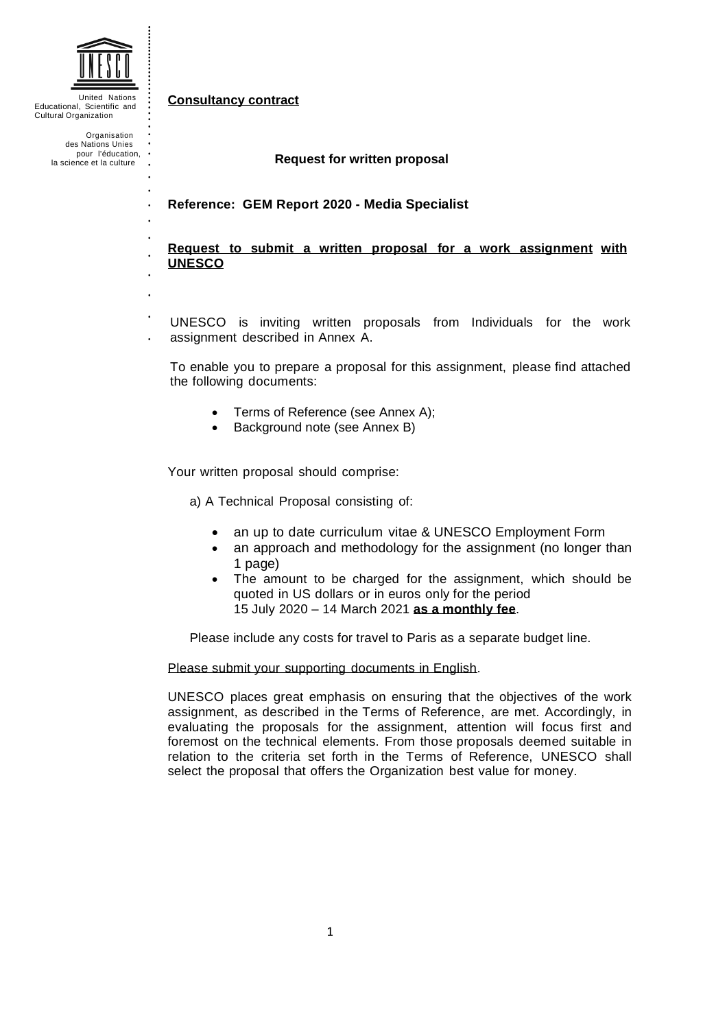

United Nations Educational, Scientific and Cultural Organization

> Organisation des Nations Unies pour l'éducation, · la science et la culture

#### **Consultancy contract**

#### **Request for written proposal**

### **Reference: GEM Report 2020 - Media Specialist**

**Request to submit a written proposal for a work assignment with UNESCO**

UNESCO is inviting written proposals from Individuals for the work assignment described in Annex A.  $\ddot{\phantom{0}}$ 

To enable you to prepare a proposal for this assignment, please find attached the following documents:

- Terms of Reference (see Annex A);
- Background note (see Annex B)

Your written proposal should comprise:

a) A Technical Proposal consisting of:

- an up to date curriculum vitae & UNESCO Employment Form
- an approach and methodology for the assignment (no longer than 1 page)
- The amount to be charged for the assignment, which should be quoted in US dollars or in euros only for the period 15 July 2020 – 14 March 2021 **as a monthly fee**.

Please include any costs for travel to Paris as a separate budget line.

Please submit your supporting documents in English.

UNESCO places great emphasis on ensuring that the objectives of the work assignment, as described in the Terms of Reference, are met. Accordingly, in evaluating the proposals for the assignment, attention will focus first and foremost on the technical elements. From those proposals deemed suitable in relation to the criteria set forth in the Terms of Reference, UNESCO shall select the proposal that offers the Organization best value for money.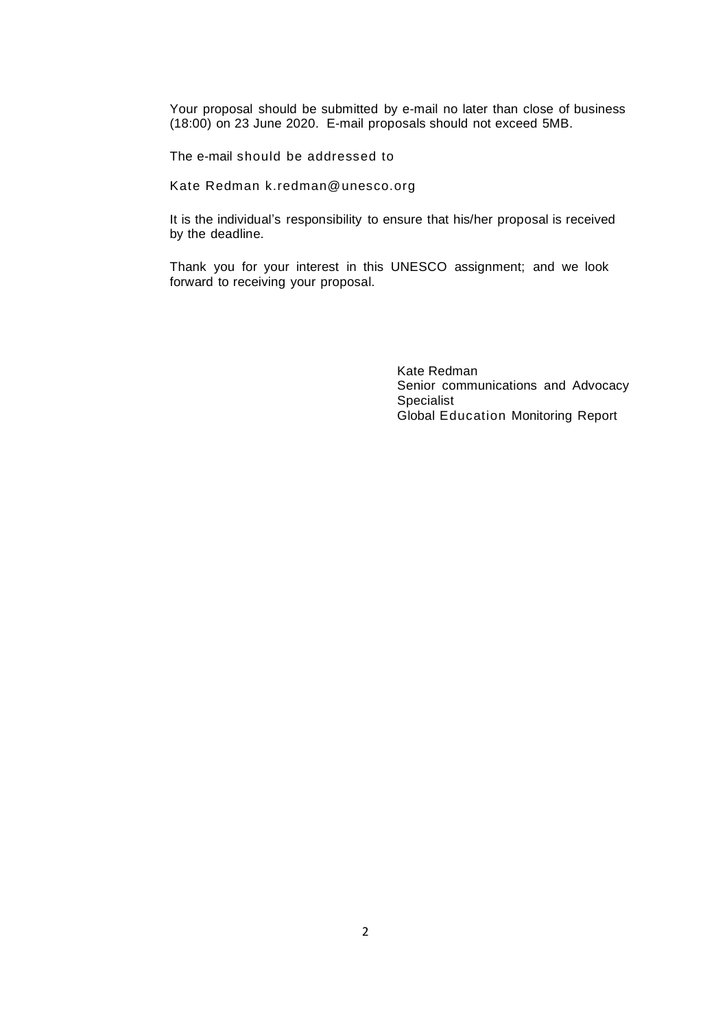Your proposal should be submitted by e-mail no later than close of business (18:00) on 23 June 2020. E-mail proposals should not exceed 5MB.

The e-mail should be addressed to

Kate Redman k.redman@unesco.org

It is the individual's responsibility to ensure that his/her proposal is received by the deadline.

Thank you for your interest in this UNESCO assignment; and we look forward to receiving your proposal.

> Kate Redman Senior communications and Advocacy Specialist Global Education Monitoring Report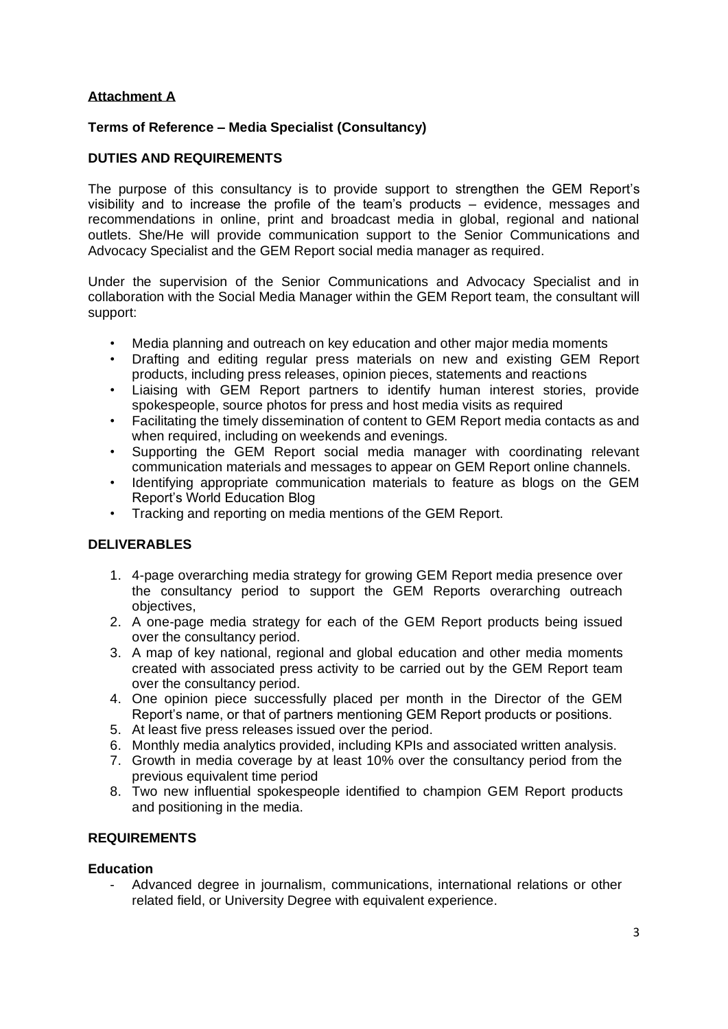# **Attachment A**

## **Terms of Reference – Media Specialist (Consultancy)**

# **DUTIES AND REQUIREMENTS**

The purpose of this consultancy is to provide support to strengthen the GEM Report's visibility and to increase the profile of the team's products – evidence, messages and recommendations in online, print and broadcast media in global, regional and national outlets. She/He will provide communication support to the Senior Communications and Advocacy Specialist and the GEM Report social media manager as required.

Under the supervision of the Senior Communications and Advocacy Specialist and in collaboration with the Social Media Manager within the GEM Report team, the consultant will support:

- Media planning and outreach on key education and other major media moments
- Drafting and editing regular press materials on new and existing GEM Report products, including press releases, opinion pieces, statements and reactions
- Liaising with GEM Report partners to identify human interest stories, provide spokespeople, source photos for press and host media visits as required
- Facilitating the timely dissemination of content to GEM Report media contacts as and when required, including on weekends and evenings.
- Supporting the GEM Report social media manager with coordinating relevant communication materials and messages to appear on GEM Report online channels.
- Identifying appropriate communication materials to feature as blogs on the GEM Report's World Education Blog
- Tracking and reporting on media mentions of the GEM Report.

# **DELIVERABLES**

- 1. 4-page overarching media strategy for growing GEM Report media presence over the consultancy period to support the GEM Reports overarching outreach objectives,
- 2. A one-page media strategy for each of the GEM Report products being issued over the consultancy period.
- 3. A map of key national, regional and global education and other media moments created with associated press activity to be carried out by the GEM Report team over the consultancy period.
- 4. One opinion piece successfully placed per month in the Director of the GEM Report's name, or that of partners mentioning GEM Report products or positions.
- 5. At least five press releases issued over the period.
- 6. Monthly media analytics provided, including KPIs and associated written analysis.
- 7. Growth in media coverage by at least 10% over the consultancy period from the previous equivalent time period
- 8. Two new influential spokespeople identified to champion GEM Report products and positioning in the media.

## **REQUIREMENTS**

## **Education**

Advanced degree in journalism, communications, international relations or other related field, or University Degree with equivalent experience.